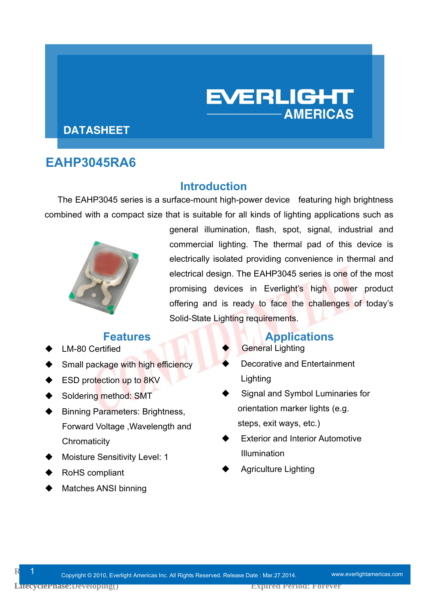# **DATASHEET**

# **EAHP3045RA6**

#### **Introduction**

The EAHP3045 series is a surface-mount high-power device featuring high brightness combined with a compact size that is suitable for all kinds of lighting applications such as



general illumination, flash, spot, signal, industrial and commercial lighting. The thermal pad of this device is electrically isolated providing convenience in thermal and electrical design. The EAHP3045 series is one of the most promising devices in Everlight's high power product offering and is ready to face the challenges of today's Solid-State Lighting requirements.

**EVERLIGHT** 

**AMERICAS** 

- LM-80 Certified
- Small package with high efficiency
- ESD protection up to 8KV
- Soldering method: SMT
- Binning Parameters: Brightness, Forward Voltage ,Wavelength and **Chromaticity**
- Moisture Sensitivity Level: 1
- RoHS compliant
- Matches ANSI binning

### **Features Applications**

- General Lighting
- Decorative and Entertainment Lighting
- Signal and Symbol Luminaries for orientation marker lights (e.g. steps, exit ways, etc.)
- Exterior and Interior Automotive Illumination
- Agriculture Lighting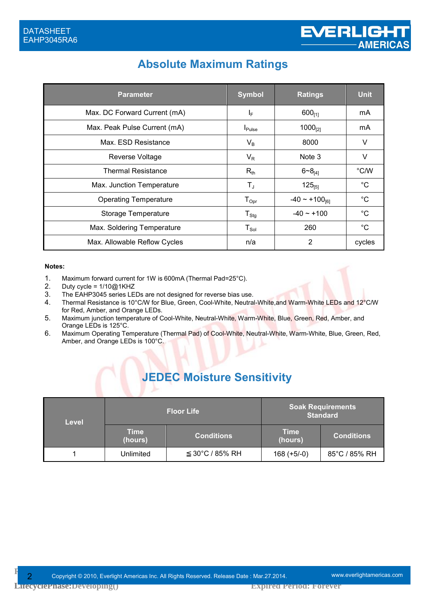# **Absolute Maximum Ratings**

| <b>Parameter</b>             | <b>Symbol</b>        | <b>Ratings</b>               | <b>Unit</b>  |
|------------------------------|----------------------|------------------------------|--------------|
| Max. DC Forward Current (mA) | IF.                  | $600_{[1]}$                  | mA           |
| Max. Peak Pulse Current (mA) | $I_{\mathsf{Pulse}}$ | $1000_{[2]}$                 | mA           |
| Max. ESD Resistance          | $V_B$                | 8000                         | V            |
| Reverse Voltage              | $V_R$                | Note 3                       | V            |
| <b>Thermal Resistance</b>    | $R_{th}$             | $6 - 8_{14}$                 | °C/W         |
| Max. Junction Temperature    | T,                   | $125_{[5]}$                  | $^{\circ}C$  |
| <b>Operating Temperature</b> | $T_{\text{Opt}}$     | $-40 \sim +100_{\text{f61}}$ | $^{\circ}C$  |
| Storage Temperature          | $T_{\text{Stg}}$     | $-40 \sim +100$              | $^{\circ}$ C |
| Max. Soldering Temperature   | $T_{Sol}$            | 260                          | $^{\circ}C$  |
| Max. Allowable Reflow Cycles | n/a                  | $\overline{2}$               | cycles       |

#### **Notes:**

- 1. Maximum forward current for 1W is 600mA (Thermal Pad=25°C).
- 2. Duty cycle = 1/10@1KHZ<br>3. The EAHP3045 series LE
- The EAHP3045 series LEDs are not designed for reverse bias use.
- 4. Thermal Resistance is 10°C/W for Blue, Green, Cool-White, Neutral-White, and Warm-White LEDs and 12°C/W for Red, Amber, and Orange LEDs.
- 5. Maximum junction temperature of Cool-White, Neutral-White, Warm-White, Blue, Green, Red, Amber, and Orange LEDs is 125°C.
- 6. Maximum Operating Temperature (Thermal Pad) of Cool-White, Neutral-White, Warm-White, Blue, Green, Red, Amber, and Orange LEDs is 100°C.

# **JEDEC Moisture Sensitivity**

| <b>Level</b> |                        | <b>Floor Life</b> |                 | <b>Soak Requirements</b><br><b>Standard</b> |
|--------------|------------------------|-------------------|-----------------|---------------------------------------------|
|              | <b>Time</b><br>(hours) | <b>Conditions</b> | Time<br>(hours) | <b>Conditions</b>                           |
|              | Unlimited              | 30°C / 85% RH     | $168 (+5/-0)$   | 85°C / 85% RH                               |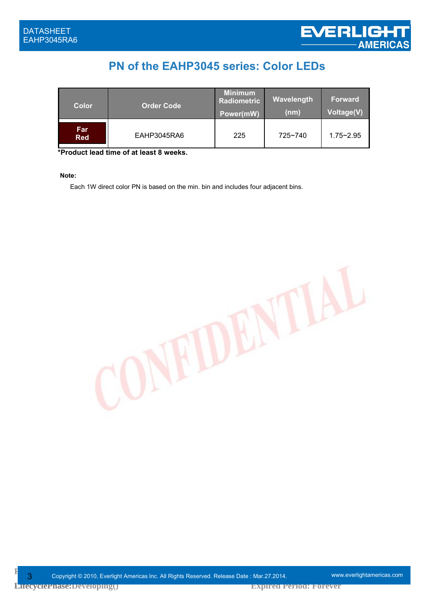# **PN of the EAHP3045 series: Color LEDs**

| <b>Color</b>      | <b>Order Code</b> | <b>Minimum</b><br><b>Radiometric</b><br>Power(mW) | Wavelength<br>(nm) | <b>Forward</b><br><b>Voltage(V)</b> |
|-------------------|-------------------|---------------------------------------------------|--------------------|-------------------------------------|
| Far<br><b>Red</b> | EAHP3045RA6       | 225                                               | 725~740            | $1.75 - 2.95$                       |

**\*Product lead time of at least 8 weeks.**

**Note:** 

Each 1W direct color PN is based on the min. bin and includes four adjacent bins.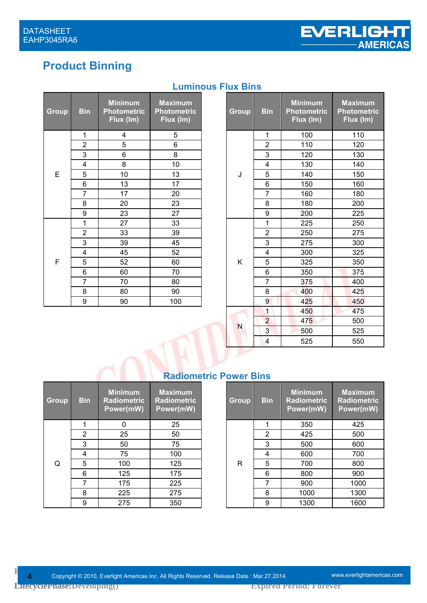# **Product Binning**

| <b>Group</b> | <b>Bin</b>     | <b>Minimum</b><br><b>Photometric</b><br>Flux (Im) | <b>Maximum</b><br><b>Photometric</b><br>Flux (Im) |
|--------------|----------------|---------------------------------------------------|---------------------------------------------------|
|              | 1              | 4                                                 | 5                                                 |
|              | $\overline{2}$ | 5                                                 | 6                                                 |
|              | 3              | 6                                                 | 8                                                 |
|              | 4              | 8                                                 | 10                                                |
| E            | 5              | 10                                                | 13                                                |
|              | 6              | 13                                                | 17                                                |
|              | 7              | 17                                                | 20                                                |
|              | 8              | 20                                                | 23                                                |
|              | 9              | 23                                                | 27                                                |
|              | 1              | 27                                                | 33                                                |
|              | $\overline{2}$ | 33                                                | 39                                                |
|              | 3              | 39                                                | 45                                                |
|              | 4              | 45                                                | 52                                                |
| F            | 5              | 52                                                | 60                                                |
|              | 6              | 60                                                | 70                                                |
|              | 7              | 70                                                | 80                                                |
|              | 8              | 80                                                | 90                                                |
|              | 9              | 90                                                | 100                                               |

### **Luminous Flux Bins**

| in             | <b>Minimum</b><br><b>Photometric</b><br>Flux (Im) | <b>Maximum</b><br><b>Photometric</b><br>Flux (Im) |  | Group | <b>Bin</b>       | <b>Minimum</b><br><b>Photometric</b><br>Flux (Im) | <b>Maximum</b><br><b>Photometric</b><br>Flux (Im) |
|----------------|---------------------------------------------------|---------------------------------------------------|--|-------|------------------|---------------------------------------------------|---------------------------------------------------|
| 1              | 4                                                 | 5                                                 |  |       | 1                | 100                                               | 110                                               |
| $\overline{2}$ | 5                                                 | 6                                                 |  |       | $\overline{2}$   | 110                                               | 120                                               |
| $\overline{3}$ | 6                                                 | 8                                                 |  |       | 3                | 120                                               | 130                                               |
| 4              | 8                                                 | 10                                                |  |       | 4                | 130                                               | 140                                               |
| $\overline{5}$ | 10                                                | 13                                                |  | J     | 5                | 140                                               | 150                                               |
| $\frac{6}{7}$  | 13                                                | 17                                                |  |       | 6                | 150                                               | 160                                               |
|                | 17                                                | 20                                                |  |       | $\overline{7}$   | 160                                               | 180                                               |
| $rac{8}{9}$    | 20                                                | 23                                                |  |       | 8                | 180                                               | 200                                               |
|                | 23                                                | 27                                                |  |       | $\boldsymbol{9}$ | 200                                               | 225                                               |
| $\overline{1}$ | 27                                                | 33                                                |  |       | 1                | 225                                               | 250                                               |
| $\overline{2}$ | 33                                                | 39                                                |  |       | $\overline{2}$   | 250                                               | 275                                               |
| $\overline{3}$ | 39                                                | 45                                                |  |       | 3                | 275                                               | 300                                               |
| 4              | 45                                                | 52                                                |  |       | 4                | 300                                               | 325                                               |
| 5              | 52                                                | 60                                                |  | Κ     | 5                | 325                                               | 350                                               |
| $\frac{6}{7}$  | 60                                                | 70                                                |  |       | 6                | 350                                               | 375                                               |
|                | 70                                                | 80                                                |  |       | $\overline{7}$   | 375                                               | 400                                               |
| $\frac{8}{1}$  | 80                                                | 90                                                |  |       | 8                | 400                                               | 425                                               |
| $\overline{9}$ | 90                                                | 100                                               |  |       | 9                | 425                                               | 450                                               |
|                |                                                   |                                                   |  |       | 1                | 450                                               | 475                                               |
|                |                                                   |                                                   |  |       | $\overline{2}$   | 475                                               | 500                                               |
|                |                                                   |                                                   |  | N     | 3                | 500                                               | 525                                               |
|                |                                                   |                                                   |  |       | 4                | 525                                               | 550                                               |

#### **Radiometric Power Bins**

| <b>Group</b> | <b>Bin</b> | <b>Minimum</b><br><b>Radiometric</b><br>Power(mW) | <b>Maximum</b><br><b>Radiometric</b><br>Power(mW) |
|--------------|------------|---------------------------------------------------|---------------------------------------------------|
|              | 1          | n                                                 | 25                                                |
|              | 2          | 25                                                | 50                                                |
|              | 3          | 50                                                | 75                                                |
|              | 4          | 75                                                | 100                                               |
| O            | 5          | 100                                               | 125                                               |
|              | 6          | 125                                               | 175                                               |
|              | 7          | 175                                               | 225                                               |
|              | 8          | 225                                               | 275                                               |
|              | g          | 275                                               | 350                                               |

| }in            | <b>Minimum</b><br><b>Radiometric</b><br>Power(mW) | <b>Maximum</b><br><b>Radiometric</b><br>Power(mW) | Group | <b>Bin</b>     | <b>Minimum</b><br><b>Radiometric</b><br>Power(mW) | <b>Maximum</b><br><b>Radiometric</b><br>Power(mW) |
|----------------|---------------------------------------------------|---------------------------------------------------|-------|----------------|---------------------------------------------------|---------------------------------------------------|
| 1              | 0                                                 | 25                                                |       |                | 350                                               | 425                                               |
| $\overline{2}$ | 25                                                | 50                                                |       | $\overline{2}$ | 425                                               | 500                                               |
| 3              | 50                                                | 75                                                |       | 3              | 500                                               | 600                                               |
| 4              | 75                                                | 100                                               |       | 4              | 600                                               | 700                                               |
| 5              | 100                                               | 125                                               | R     | 5              | 700                                               | 800                                               |
| 6              | 125                                               | 175                                               |       | 6              | 800                                               | 900                                               |
| 7              | 175                                               | 225                                               |       | 7              | 900                                               | 1000                                              |
| 8              | 225                                               | 275                                               |       | 8              | 1000                                              | 1300                                              |
| 9              | 275                                               | 350                                               |       | 9              | 1300                                              | 1600                                              |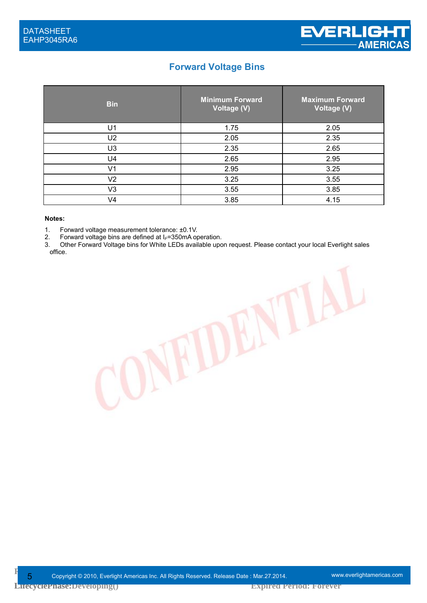#### **Forward Voltage Bins**

| <b>Bin</b>     | <b>Minimum Forward</b><br>Voltage (V) | <b>Maximum Forward</b><br>Voltage (V) |
|----------------|---------------------------------------|---------------------------------------|
| U1             | 1.75                                  | 2.05                                  |
| U <sub>2</sub> | 2.05                                  | 2.35                                  |
| U <sub>3</sub> | 2.35                                  | 2.65                                  |
| U4             | 2.65                                  | 2.95                                  |
| V <sub>1</sub> | 2.95                                  | 3.25                                  |
| V <sub>2</sub> | 3.25                                  | 3.55                                  |
| V3             | 3.55                                  | 3.85                                  |
| V4             | 3.85                                  | 4.15                                  |

#### **Notes:**

1. Forward voltage measurement tolerance: ±0.1V.

2. Forward voltage bins are defined at I*F*=350mA operation.

3. Other Forward Voltage bins for White LEDs available upon request. Please contact your local Everlight sales office.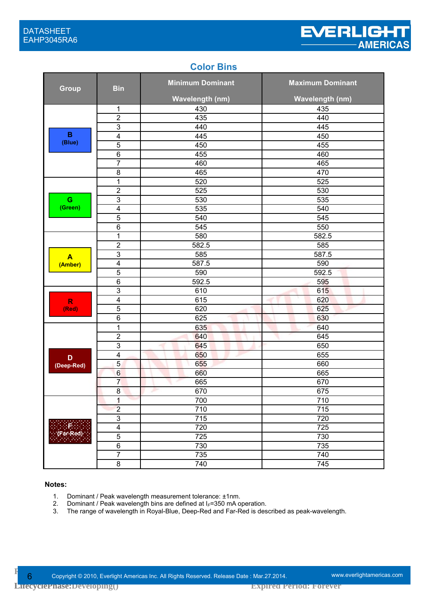#### **Color Bins**

| <b>Group</b>     | <b>Bin</b>              | <b>Minimum Dominant</b> | <b>Maximum Dominant</b> |
|------------------|-------------------------|-------------------------|-------------------------|
|                  |                         | <b>Wavelength (nm)</b>  | <b>Wavelength (nm)</b>  |
|                  | 1                       | 430                     | 435                     |
|                  | $\overline{2}$          | 435                     | 440                     |
|                  | $\overline{3}$          | 440                     | 445                     |
| B                | $\overline{\mathbf{4}}$ | 445                     | 450                     |
| (Blue)           | $\overline{5}$          | 450                     | 455                     |
|                  | $\,6$                   | 455                     | 460                     |
|                  | $\overline{7}$          | 460                     | 465                     |
|                  | 8                       | 465                     | 470                     |
|                  | $\overline{1}$          | 520                     | 525                     |
|                  | $\boldsymbol{2}$        | 525                     | 530                     |
| G                | $\overline{3}$          | 530                     | 535                     |
| (Green)          | $\overline{\mathbf{4}}$ | 535                     | 540                     |
|                  | $\overline{5}$          | 540                     | 545                     |
|                  | 6                       | 545                     | 550                     |
|                  | 1                       | 580                     | 582.5                   |
|                  | $\mathbf 2$             | 582.5                   | 585                     |
| $\blacktriangle$ | $\mathsf 3$             | 585                     | 587.5                   |
| (Amber)          | $\overline{4}$          | 587.5                   | 590                     |
|                  | $\overline{5}$          | 590                     | 592.5                   |
|                  | $\,6$                   | 592.5                   | 595                     |
|                  | $\mathsf 3$             | 610                     | 615                     |
| $\mathsf{R}$     | $\overline{\mathbf{4}}$ | 615                     | 620                     |
| (Red)            | 5                       | 620                     | 625                     |
|                  | $6\phantom{1}6$         | 625                     | 630                     |
|                  | 1                       | 635                     | 640                     |
|                  | $\overline{2}$          | 640                     | 645                     |
|                  | $\overline{3}$          | 645                     | 650                     |
| D                | $\overline{\mathbf{4}}$ | 650                     | 655                     |
| (Deep-Red)       | $\overline{5}$          | 655                     | 660                     |
|                  | $6\,$                   | 660                     | 665                     |
|                  | $\overline{7}$          | 665                     | 670                     |
|                  | $\bf 8$                 | 670                     | 675                     |
|                  | 1                       | 700                     | 710                     |
|                  | $\overline{2}$          | 710                     | 715                     |
|                  | $\overline{3}$          | 715                     | 720                     |
|                  | $\overline{4}$          | 720                     | 725                     |
| (Far-Red)        | $\overline{5}$          | 725                     | 730                     |
|                  | $\overline{6}$          | 730                     | 735                     |
|                  | $\overline{7}$          | 735                     | 740                     |
|                  | $\bf 8$                 | 740                     | 745                     |

#### **Notes:**

- 1. Dominant / Peak wavelength measurement tolerance:  $\pm$ 1nm.<br>2. Dominant / Peak wavelength bins are defined at  $I_F$ =350 mA o
- 2. Dominant / Peak wavelength bins are defined at I<sub>F</sub>=350 mA operation.<br>3. The range of wavelength in Royal-Blue, Deep-Red and Far-Red is des
- The range of wavelength in Royal-Blue, Deep-Red and Far-Red is described as peak-wavelength.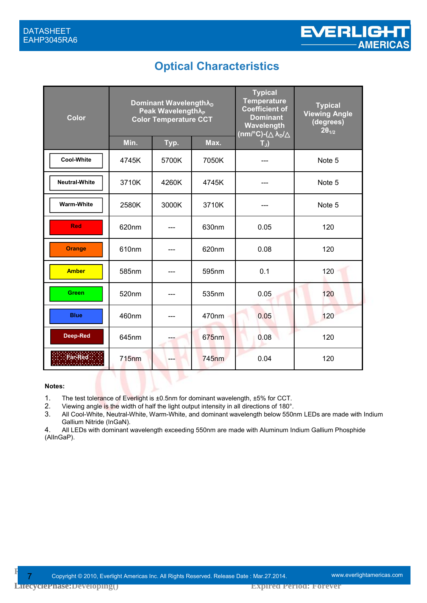# **Optical Characteristics**

| <b>Color</b>         | Dominant Wavelength $\lambda_{D}$<br>Peak Wavelength $\lambda_P$<br><b>Color Temperature CCT</b> |       | <b>Typical</b><br><b>Temperature</b><br><b>Coefficient of</b><br><b>Dominant</b><br>Wavelength<br>$(nm/°C)$ - $(\lambda_D/$ | <b>Typical</b><br><b>Viewing Angle</b><br>(degrees)<br>$2\theta_{1/2}$ |        |
|----------------------|--------------------------------------------------------------------------------------------------|-------|-----------------------------------------------------------------------------------------------------------------------------|------------------------------------------------------------------------|--------|
|                      | Min.                                                                                             | Typ.  | Max.                                                                                                                        | $T_J$                                                                  |        |
| <b>Cool-White</b>    | 4745K                                                                                            | 5700K | 7050K                                                                                                                       |                                                                        | Note 5 |
| <b>Neutral-White</b> | 3710K                                                                                            | 4260K | 4745K                                                                                                                       |                                                                        | Note 5 |
| <b>Warm-White</b>    | 2580K                                                                                            | 3000K | 3710K                                                                                                                       |                                                                        | Note 5 |
| <b>Red</b>           | 620nm                                                                                            |       | 630nm                                                                                                                       | 0.05                                                                   | 120    |
| <b>Orange</b>        | 610nm                                                                                            |       | 620nm                                                                                                                       | 0.08                                                                   | 120    |
| <b>Amber</b>         | 585nm                                                                                            |       | 595nm                                                                                                                       | 0.1                                                                    | 120    |
| <b>Green</b>         | 520nm                                                                                            |       | 535nm                                                                                                                       | 0.05                                                                   | 120    |
| <b>Blue</b>          | 460nm                                                                                            |       | 470nm                                                                                                                       | 0.05                                                                   | 120    |
| Deep-Red             | 645nm                                                                                            |       | 675nm                                                                                                                       | 0.08                                                                   | 120    |
| Far-Red              | <b>715nm</b>                                                                                     |       | <b>745nm</b>                                                                                                                | 0.04                                                                   | 120    |
|                      |                                                                                                  |       |                                                                                                                             |                                                                        |        |

#### **Notes:**

- 1. The test tolerance of Everlight is ±0.5nm for dominant wavelength, ±5% for CCT.
- 2. Viewing angle is the width of half the light output intensity in all directions of 180°.
- 3. All Cool-White, Neutral-White, Warm-White, and dominant wavelength below 550nm LEDs are made with Indium Gallium Nitride (InGaN).

4. All LEDs with dominant wavelength exceeding 550nm are made with Aluminum Indium Gallium Phosphide (AlInGaP).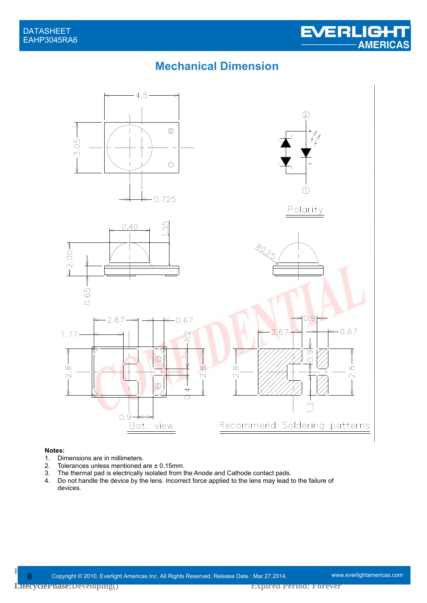### **Mechanical Dimension**



# **Notes:**<br>1. Dir

- 
- 1. Dimensions are in millimeters.<br>2. Tolerances unless mentioned
- 2. Tolerances unless mentioned are  $\pm$  0.15mm.<br>3. The thermal pad is electrically isolated from t The thermal pad is electrically isolated from the Anode and Cathode contact pads.
- 4. Do not handle the device by the lens. Incorrect force applied to the lens may lead to the failure of devices.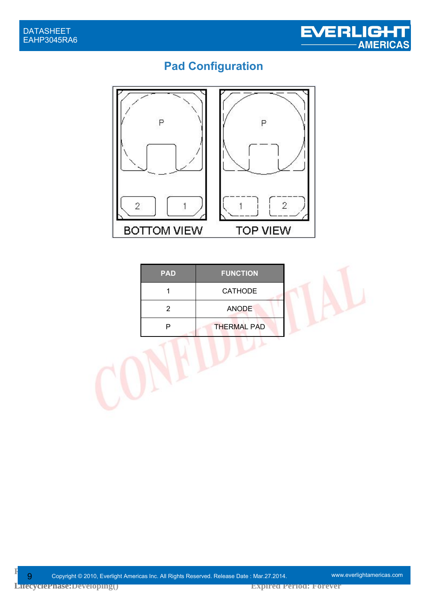

# **Pad Configuration**



| <b>PAD</b> | <b>FUNCTION</b>    |
|------------|--------------------|
|            | <b>CATHODE</b>     |
| 2          | <b>ANODE</b>       |
|            | <b>THERMAL PAD</b> |

J)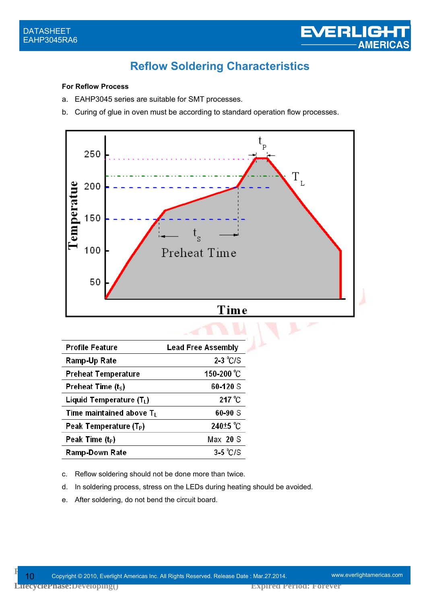

# **Reflow Soldering Characteristics**

#### **For Reflow Process**

- a. EAHP3045 series are suitable for SMT processes.
- b. Curing of glue in oven must be according to standard operation flow processes.



| <b>Profile Feature</b>               | <b>Lead Free Assembly</b> |
|--------------------------------------|---------------------------|
| Ramp-Up Rate                         | $2-3$ °C/S                |
| <b>Preheat Temperature</b>           | 150-200 °C                |
| Preheat Time $(tS)$                  | 60-120 S                  |
| Liquid Temperature (T <sub>L</sub> ) | $217^{\circ}$ C           |
| Time maintained above $T_L$          | 60-90 S                   |
| Peak Temperature (T <sub>P</sub> )   | 240 <sup>+5</sup> °C      |
| Peak Time (t <sub>P</sub> )          | $Max$ 20 S                |
| Ramp-Down Rate                       | $3-5$ °C/S                |

c. Reflow soldering should not be done more than twice.

- d. In soldering process, stress on the LEDs during heating should be avoided.
- e. After soldering, do not bend the circuit board.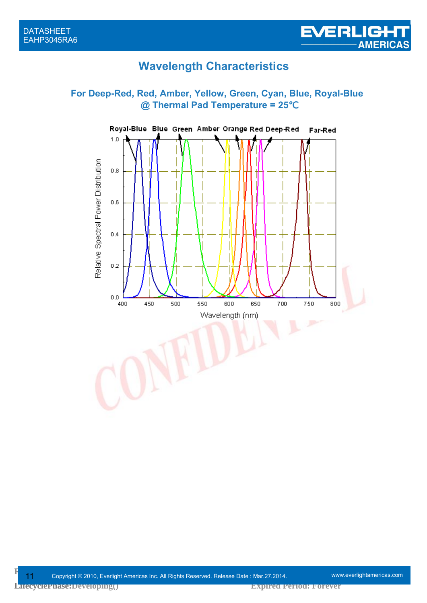# **Wavelength Characteristics**

#### **For Deep-Red, Red, Amber, Yellow, Green, Cyan, Blue, Royal-Blue @ Thermal Pad Temperature = 25**℃

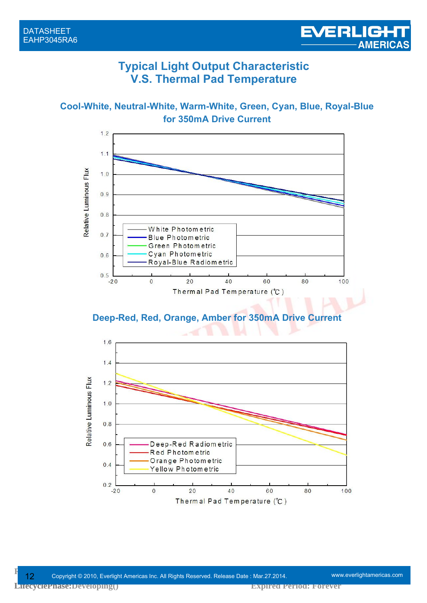### **Typical Light Output Characteristic V.S. Thermal Pad Temperature**

**Cool-White, Neutral-White, Warm-White, Green, Cyan, Blue, Royal-Blue for 350mA Drive Current**



**Deep-Red, Red, Orange, Amber for 350mA Drive Current**

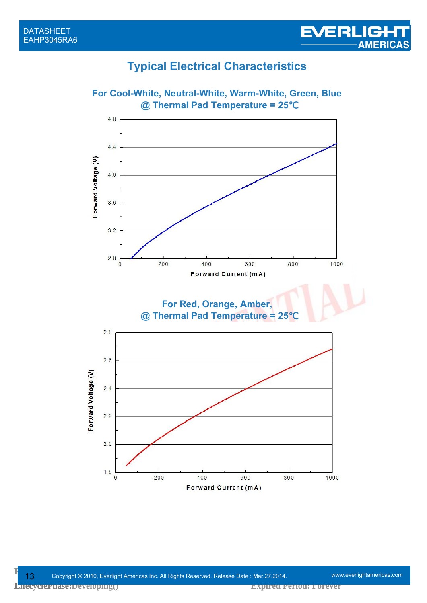# **Typical Electrical Characteristics**



EVERLIGHT

**Expired Period: Forever**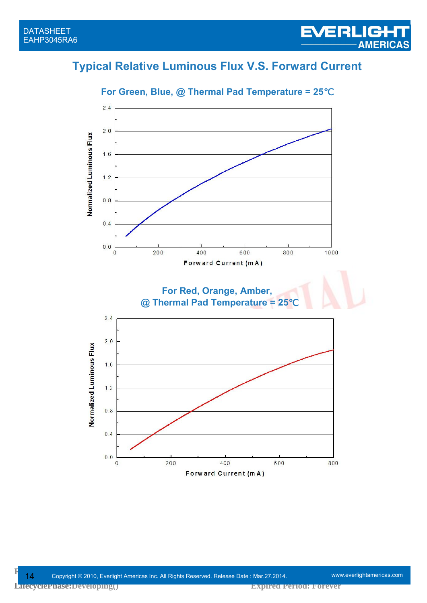# **Typical Relative Luminous Flux V.S. Forward Current**



#### **For Green, Blue, @ Thermal Pad Temperature = 25**℃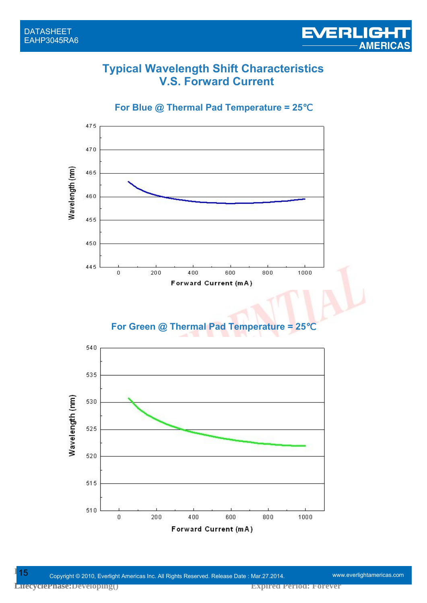### **Typical Wavelength Shift Characteristics V.S. Forward Current**

**For Blue @ Thermal Pad Temperature = 25**℃



#### **For Green @ Thermal Pad Temperature = 25**℃



**Expired Period: Forever**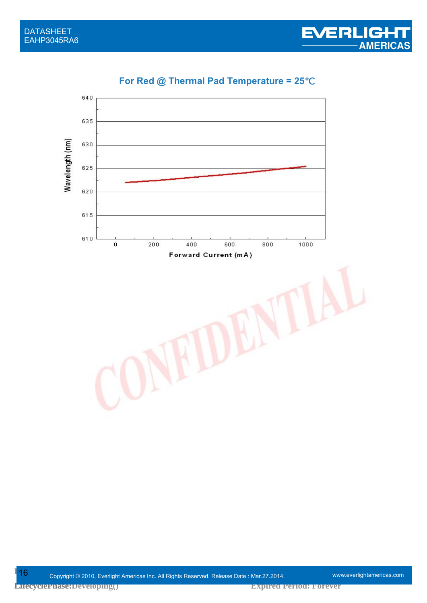

### **For Red @ Thermal Pad Temperature = 25**℃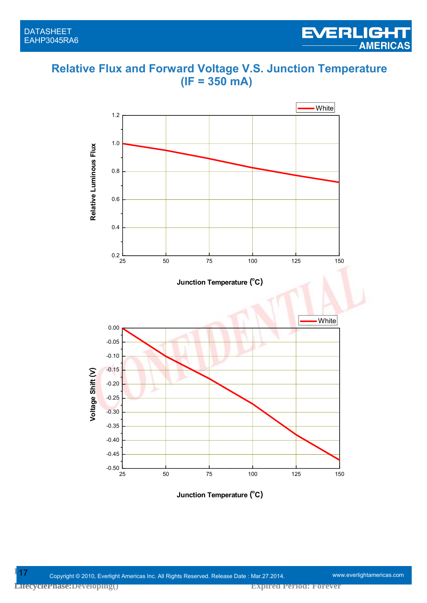### **Relative Flux and Forward Voltage V.S. Junction Temperature (IF = 350 mA)**

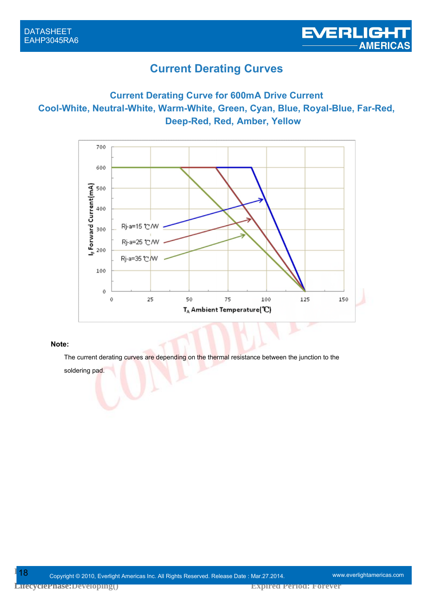### **Current Derating Curves**

#### **Current Derating Curve for 600mA Drive Current Cool-White, Neutral-White, Warm-White, Green, Cyan, Blue, Royal-Blue, Far-Red, Deep-Red, Red, Amber, Yellow**



#### **Note:**

The current derating curves are depending on the thermal resistance between the junction to the

soldering pad.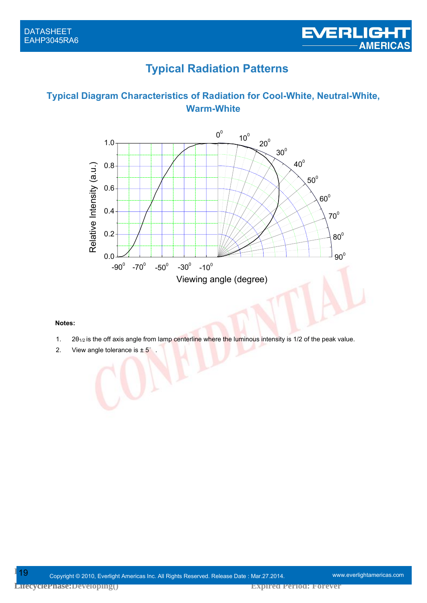# **Typical Radiation Patterns**

#### **Typical Diagram Characteristics of Radiation for Cool-White, Neutral-White, Warm-White**



#### **Notes:**

- 1.  $2\theta_{1/2}$  is the off axis angle from lamp centerline where the luminous intensity is 1/2 of the peak value.
- 2. View angle tolerance is ± 5°.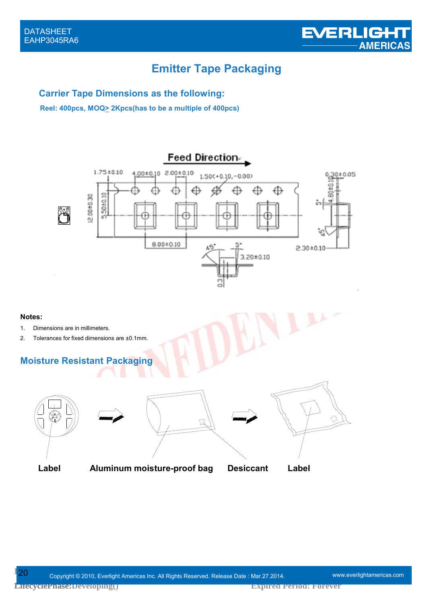# **Emitter Tape Packaging**

#### **Carrier Tape Dimensions as the following:**

**Reel: 400pcs, MOQ> 2Kpcs(has to be a multiple of 400pcs)**



#### **Notes:**

- 1. Dimensions are in millimeters.
- 2. Tolerances for fixed dimensions are ±0.1mm.

#### **Moisture Resistant Packag**



 $\mathbb{Z}$ 



Label Aluminum moistue-proof bag Desiccant Label **Label Aluminum moisture-proof bag Desiccant Label**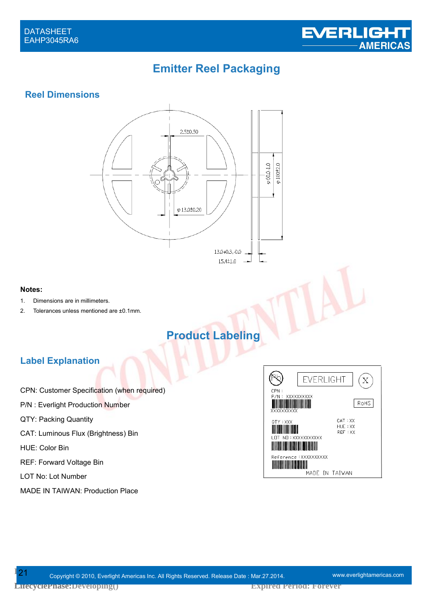

# **Emitter Reel Packaging**

#### **Reel Dimensions**



#### **Notes:**

- 1. Dimensions are in millimeters.
- 2. Tolerances unless mentioned are ±0.1mm.

# **Product Labeling**

#### **Label Explanation**

- CPN: Customer Specification (when required)
- P/N : Everlight Production Number
- QTY: Packing Quantity
- CAT: Luminous Flux (Brightness) Bin

HUE: Color Bin

- REF: Forward Voltage Bin
- LOT No: Lot Number
- MADE IN TAIWAN: Production Place

| <b>EVERLIGHT</b><br><b>CPN</b>                                        |
|-----------------------------------------------------------------------|
| XXXXXXXXXX<br>P/N:<br>RoHS<br>XXXXXXXXXX                              |
| CAT: XX<br>QTY: XXX<br>HUE : XX<br>REF : XX<br>NO: XXXXXXXXXXX<br>LOT |
| Reference: XXXXXXXXXX<br>MADE IN TAIWAN                               |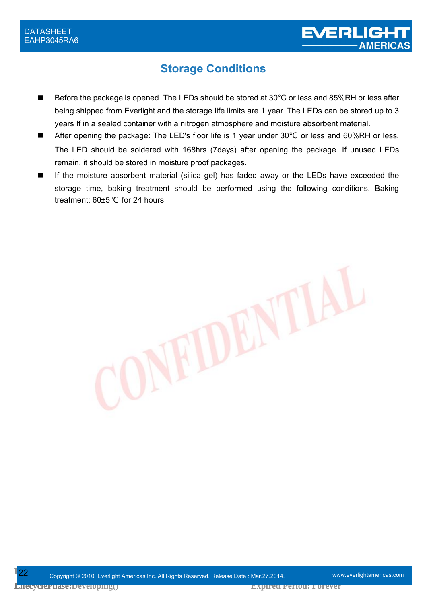# **Storage Conditions**

- Before the package is opened. The LEDs should be stored at 30°C or less and 85%RH or less after being shipped from Everlight and the storage life limits are 1 year. The LEDs can be stored up to 3 years If in a sealed container with a nitrogen atmosphere and moisture absorbent material.
- After opening the package: The LED's floor life is 1 year under 30 or less and 60%RH or less. The LED should be soldered with 168hrs (7days) after opening the package. If unused LEDs remain, it should be stored in moisture proof packages.
- If the moisture absorbent material (silica gel) has faded away or the LEDs have exceeded the storage time, baking treatment should be performed using the following conditions. Baking treatment: 60±5 for 24 hours.